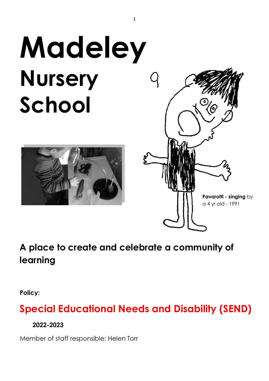# **Madeley Nursery School**





# **A place to create and celebrate a community of learning**

**Policy:**

# **Special Educational Needs and Disability (SEND)**

**2022-2023**

Member of staff responsible: Helen Torr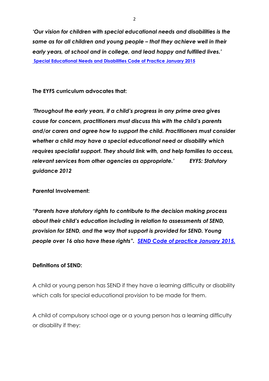*'Our vision for children with special educational needs and disabilities is the same as for all children and young people – that they achieve well in their early years, at school and in college, and lead happy and fulfilled lives.'* **[Special Educational Needs and Disabilities Code of Practice January](file://///taw.org.uk/zone1/shared/taw106workgroup/Policies/H&S%20&%20Welfare%20Policies/equalities,%20disability%20SEN/From%20the%20Parliamentary%20Under-Secretary%20of%20State%20for%20Health%20and%20the%20Parliamentary%20Under-Secretary%20of%20State%20for%20Children%20and%20Families) 2015**

**The EYFS curriculum advocates that:** 

*'Throughout the early years, if a child's progress in any prime area gives cause for concern, practitioners must discuss this with the child's parents and/or carers and agree how to support the child. Practitioners must consider whether a child may have a special educational need or disability which requires specialist support. They should link with, and help families to access, relevant services from other agencies as appropriate.' EYFS: Statutory guidance 2012* 

**Parental Involvement:** 

*"Parents have statutory rights to contribute to the decision making process about their child's education including in relation to assessments of SEND, provision for SEND, and the way that support is provided for SEND. Young people over 16 also have these rights". SEND [Code of practice January 2015.](https://www.gov.uk/government/uploads/system/uploads/attachment_data/file/398815/SEND_Code_of_Practice_January_2015.pdf)*

#### **Definitions of SEND:**

A child or young person has SEND if they have a learning difficulty or disability which calls for special educational provision to be made for them.

A child of compulsory school age or a young person has a learning difficulty or disability if they: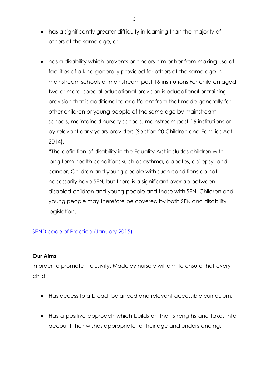- has a significantly greater difficulty in learning than the majority of others of the same age, or
- has a disability which prevents or hinders him or her from making use of facilities of a kind generally provided for others of the same age in mainstream schools or mainstream post-16 institutions For children aged two or more, special educational provision is educational or training provision that is additional to or different from that made generally for other children or young people of the same age by mainstream schools, maintained nursery schools, mainstream post-16 institutions or by relevant early years providers (Section 20 Children and Families Act 2014).

"The definition of disability in the Equality Act includes children with long term health conditions such as asthma, diabetes, epilepsy, and cancer. Children and young people with such conditions do not necessarily have SEN, but there is a significant overlap between disabled children and young people and those with SEN. Children and young people may therefore be covered by both SEN and disability legislation."

# SEND [code of Practice \(January 2015\)](https://assets.publishing.service.gov.uk/government/uploads/system/uploads/attachment_data/file/398815/SEND_Code_of_Practice_January_2015.pdf)

#### **Our Aims**

In order to promote inclusivity, Madeley nursery will aim to ensure that every child:

- Has access to a broad, balanced and relevant accessible curriculum.
- Has a positive approach which builds on their strengths and takes into account their wishes appropriate to their age and understanding;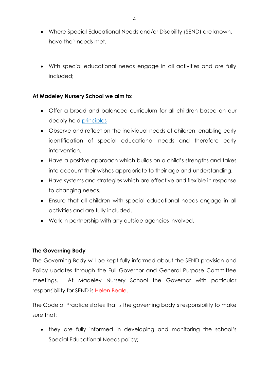- Where Special Educational Needs and/or Disability (SEND) are known, have their needs met.
- With special educational needs engage in all activities and are fully included;

#### **At Madeley Nursery School we aim to:**

- Offer a broad and balanced curriculum for all children based on our deeply held [principles](http://www.madeleynurseryschool.co.uk/view/values)
- Observe and reflect on the individual needs of children, enabling early identification of special educational needs and therefore early intervention.
- Have a positive approach which builds on a child's strengths and takes into account their wishes appropriate to their age and understanding.
- Have systems and strategies which are effective and flexible in response to changing needs.
- Ensure that all children with special educational needs engage in all activities and are fully included.
- Work in partnership with any outside agencies involved.

# **The Governing Body**

The Governing Body will be kept fully informed about the SEND provision and Policy updates through the Full Governor and General Purpose Committee meetings. At Madeley Nursery School the Governor with particular responsibility for SEND is Helen Beale.

The Code of Practice states that is the governing body's responsibility to make sure that:

• they are fully informed in developing and monitoring the school's Special Educational Needs policy;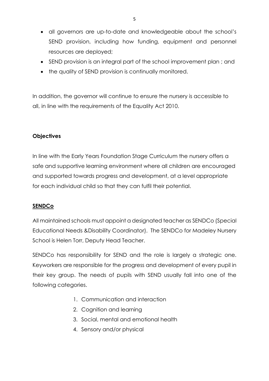- all governors are up-to-date and knowledgeable about the school's SEND provision, including how funding, equipment and personnel resources are deployed;
- SEND provision is an integral part of the school improvement plan; and
- the quality of SEND provision is continually monitored.

In addition, the governor will continue to ensure the nursery is accessible to all, in line with the requirements of the Equality Act 2010.

# **Objectives**

In line with the Early Years Foundation Stage Curriculum the nursery offers a safe and supportive learning environment where all children are encouraged and supported towards progress and development, at a level appropriate for each individual child so that they can fulfil their potential.

#### **SENDCo**

All maintained schools must appoint a designated teacher as SENDCo (Special Educational Needs &Disability Coordinator). The SENDCo for Madeley Nursery School is Helen Torr, Deputy Head Teacher.

SENDCo has responsibility for SEND and the role is largely a strategic one. Keyworkers are responsible for the progress and development of every pupil in their key group. The needs of pupils with SEND usually fall into one of the following categories.

- 1. Communication and interaction
- 2. Cognition and learning
- 3. Social, mental and emotional health
- 4. Sensory and/or physical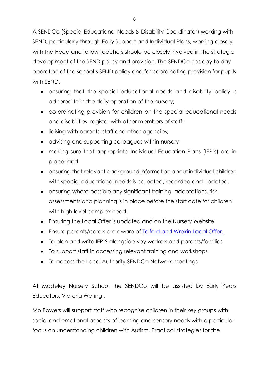A SENDCo (Special Educational Needs & Disability Coordinator) working with SEND, particularly through Early Support and Individual Plans, working closely with the Head and fellow teachers should be closely involved in the strategic development of the SEND policy and provision. The SENDCo has day to day operation of the school's SEND policy and for coordinating provision for pupils with SEND.

- ensuring that the special educational needs and disability policy is adhered to in the daily operation of the nursery;
- co-ordinating provision for children on the special educational needs and disabilities register with other members of staff;
- liaising with parents, staff and other agencies;
- advising and supporting colleagues within nursery;
- making sure that appropriate Individual Education Plans (IEP's) are in place; and
- ensuring that relevant background information about individual children with special educational needs is collected, recorded and updated.
- ensuring where possible any significant training, adaptations, risk assessments and planning is in place before the start date for children with high level complex need.
- Ensuring the Local Offer is updated and on the Nursery Website
- Ensure parents/carers are aware of [Telford and Wrekin Local Offer.](http://www.telfordsend.org.uk/localofferservices/info/1/home/31/send_guidance)
- To plan and write IEP'S alongside Key workers and parents/families
- To support staff in accessing relevant training and workshops.
- To access the Local Authority SENDCo Network meetings

At Madeley Nursery School the SENDCo will be assisted by Early Years Educators, Victoria Waring .

Mo Bowers will support staff who recognise children in their key groups with social and emotional aspects of learning and sensory needs with a particular focus on understanding children with Autism. Practical strategies for the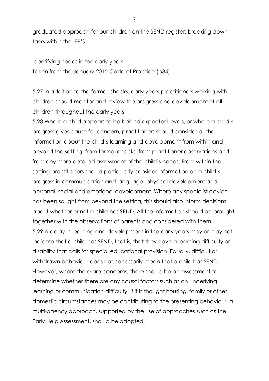graduated approach for our children on the SEND register; breaking down tasks within the IEP'S.

Identifying needs in the early years Taken from the January 2015 Code of Practice (p84)

5.27 In addition to the formal checks, early years practitioners working with children should monitor and review the progress and development of all children throughout the early years.

5.28 Where a child appears to be behind expected levels, or where a child's progress gives cause for concern, practitioners should consider all the information about the child's learning and development from within and beyond the setting, from formal checks, from practitioner observations and from any more detailed assessment of the child's needs. From within the setting practitioners should particularly consider information on a child's progress in communication and language, physical development and personal, social and emotional development. Where any specialist advice has been sought from beyond the setting, this should also inform decisions about whether or not a child has SEND. All the information should be brought together with the observations of parents and considered with them. 5.29 A delay in learning and development in the early years may or may not indicate that a child has SEND, that is, that they have a learning difficulty or disability that calls for special educational provision. Equally, difficult or withdrawn behaviour does not necessarily mean that a child has SEND. However, where there are concerns, there should be an assessment to determine whether there are any causal factors such as an underlying learning or communication difficulty. If it is thought housing, family or other domestic circumstances may be contributing to the presenting behaviour, a multi-agency approach, supported by the use of approaches such as the Early Help Assessment, should be adopted.

7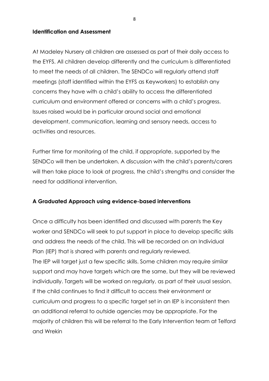#### **Identification and Assessment**

At Madeley Nursery all children are assessed as part of their daily access to the EYFS. All children develop differently and the curriculum is differentiated to meet the needs of all children. The SENDCo will regularly attend staff meetings (staff identified within the EYFS as Keyworkers) to establish any concerns they have with a child's ability to access the differentiated curriculum and environment offered or concerns with a child's progress. Issues raised would be in particular around social and emotional development, communication, learning and sensory needs, access to activities and resources.

Further time for monitoring of the child, if appropriate, supported by the SENDCo will then be undertaken. A discussion with the child's parents/carers will then take place to look at progress, the child's strengths and consider the need for additional intervention.

#### **A Graduated Approach using evidence-based interventions**

Once a difficulty has been identified and discussed with parents the Key worker and SENDCo will seek to put support in place to develop specific skills and address the needs of the child. This will be recorded on an Individual Plan (IEP) that is shared with parents and regularly reviewed. The IEP will target just a few specific skills. Some children may require similar support and may have targets which are the same, but they will be reviewed individually. Targets will be worked on regularly, as part of their usual session. If the child continues to find it difficult to access their environment or curriculum and progress to a specific target set in an IEP is inconsistent then an additional referral to outside agencies may be appropriate. For the majority of children this will be referral to the Early Intervention team at Telford and Wrekin

8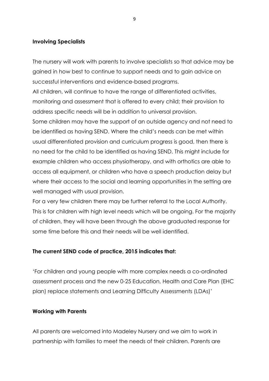#### **Involving Specialists**

The nursery will work with parents to involve specialists so that advice may be gained in how best to continue to support needs and to gain advice on successful interventions and evidence-based programs.

All children, will continue to have the range of differentiated activities, monitoring and assessment that is offered to every child; their provision to address specific needs will be in addition to universal provision. Some children may have the support of an outside agency and not need to be identified as having SEND. Where the child's needs can be met within usual differentiated provision and curriculum progress is good, then there is no need for the child to be identified as having SEND. This might include for example children who access physiotherapy, and with orthotics are able to access all equipment, or children who have a speech production delay but where their access to the social and learning opportunities in the setting are

For a very few children there may be further referral to the Local Authority. This is for children with high level needs which will be ongoing. For the majority of children, they will have been through the above graduated response for some time before this and their needs will be well identified.

#### **The current SEND code of practice, 2015 indicates that:**

well managed with usual provision.

'For children and young people with more complex needs a co-ordinated assessment process and the new 0-25 Education, Health and Care Plan (EHC plan) replace statements and Learning Difficulty Assessments (LDAs)'

#### **Working with Parents**

All parents are welcomed into Madeley Nursery and we aim to work in partnership with families to meet the needs of their children. Parents are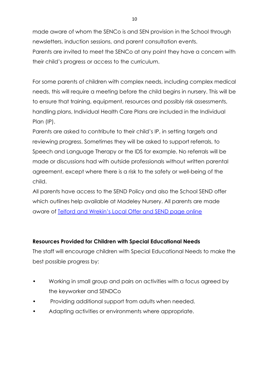made aware of whom the SENCo is and SEN provision in the School through newsletters, induction sessions, and parent consultation events. Parents are invited to meet the SENCo at any point they have a concern with their child's progress or access to the curriculum.

For some parents of children with complex needs, including complex medical needs, this will require a meeting before the child begins in nursery. This will be to ensure that training, equipment, resources and possibly risk assessments, handling plans, Individual Health Care Plans are included in the Individual Plan (IP).

Parents are asked to contribute to their child's IP, in setting targets and reviewing progress. Sometimes they will be asked to support referrals, to Speech and Language Therapy or the IDS for example. No referrals will be made or discussions had with outside professionals without written parental agreement, except where there is a risk to the safety or well-being of the child.

All parents have access to the SEND Policy and also the School SEND offer which outlines help available at Madeley Nursery. All parents are made aware of Telford and Wrekin's [Local Offer and SEND page online](http://www.telfordsend.org.uk/localofferservices/info/1/home/31/send_guidance)

# **Resources Provided for Children with Special Educational Needs**

The staff will encourage children with Special Educational Needs to make the best possible progress by:

- Working in small group and pairs on activities with a focus agreed by the keyworker and SENDCo
- Providing additional support from adults when needed.
- Adapting activities or environments where appropriate.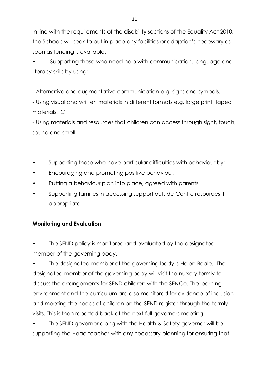In line with the requirements of the disability sections of the Equality Act 2010, the Schools will seek to put in place any facilities or adaption's necessary as soon as funding is available.

• Supporting those who need help with communication, language and literacy skills by using:

- Alternative and augmentative communication e.g. signs and symbols.

- Using visual and written materials in different formats e.g. large print, taped materials, ICT.

- Using materials and resources that children can access through sight, touch, sound and smell.

- Supporting those who have particular difficulties with behaviour by:
- Encouraging and promoting positive behaviour.
- Putting a behaviour plan into place, agreed with parents
- Supporting families in accessing support outside Centre resources if appropriate

# **Monitoring and Evaluation**

The SEND policy is monitored and evaluated by the designated member of the governing body.

• The designated member of the governing body is Helen Beale. The designated member of the governing body will visit the nursery termly to discuss the arrangements for SEND children with the SENCo. The learning environment and the curriculum are also monitored for evidence of inclusion and meeting the needs of children on the SEND register through the termly visits. This is then reported back at the next full governors meeting.

• The SEND governor along with the Health & Safety governor will be supporting the Head teacher with any necessary planning for ensuring that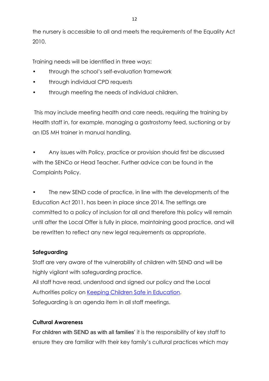the nursery is accessible to all and meets the requirements of the Equality Act 2010.

Training needs will be identified in three ways:

- through the school's self-evaluation framework
- through individual CPD requests
- through meeting the needs of individual children.

This may include meeting health and care needs, requiring the training by Health staff in, for example, managing a gastrostomy feed, suctioning or by an IDS MH trainer in manual handling.

• Any issues with Policy, practice or provision should first be discussed with the SENCo or Head Teacher. Further advice can be found in the Complaints Policy.

The new SEND code of practice, in line with the developments of the Education Act 2011, has been in place since 2014. The settings are committed to a policy of inclusion for all and therefore this policy will remain until after the Local Offer is fully in place, maintaining good practice, and will be rewritten to reflect any new legal requirements as appropriate.

# **Safeguarding**

Staff are very aware of the vulnerability of children with SEND and will be highly vigilant with safeguarding practice. All staff have read, understood and signed our policy and the Local Authorities policy on [Keeping Children Safe in Education.](http://www.telfordsafeguardingboard.org.uk/lscb/downloads/file/96/keeping_children_safe_in_education_-_info_for_all_school_and_college_staff_july_2015) Safeguarding is an agenda item in all staff meetings.

# **Cultural Awareness**

For children with SEND as with all families' it is the responsibility of key staff to ensure they are familiar with their key family's cultural practices which may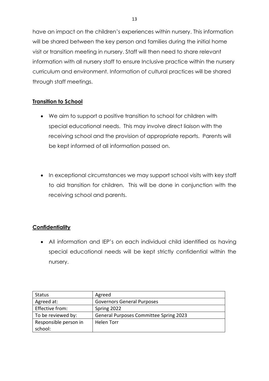have an impact on the children's experiences within nursery. This information will be shared between the key person and families during the initial home visit or transition meeting in nursery. Staff will then need to share relevant information with all nursery staff to ensure Inclusive practice within the nursery curriculum and environment. Information of cultural practices will be shared through staff meetings.

#### **Transition to School**

- We aim to support a positive transition to school for children with special educational needs. This may involve direct liaison with the receiving school and the provision of appropriate reports. Parents will be kept informed of all information passed on.
- In exceptional circumstances we may support school visits with key staff to aid transition for children. This will be done in conjunction with the receiving school and parents.

# **Confidentiality**

• All information and IEP's on each individual child identified as having special educational needs will be kept strictly confidential within the nursery.

| Status                | Agreed                                        |
|-----------------------|-----------------------------------------------|
| Agreed at:            | <b>Governors General Purposes</b>             |
| Effective from:       | Spring 2022                                   |
| To be reviewed by:    | <b>General Purposes Committee Spring 2023</b> |
| Responsible person in | Helen Torr                                    |
| school:               |                                               |